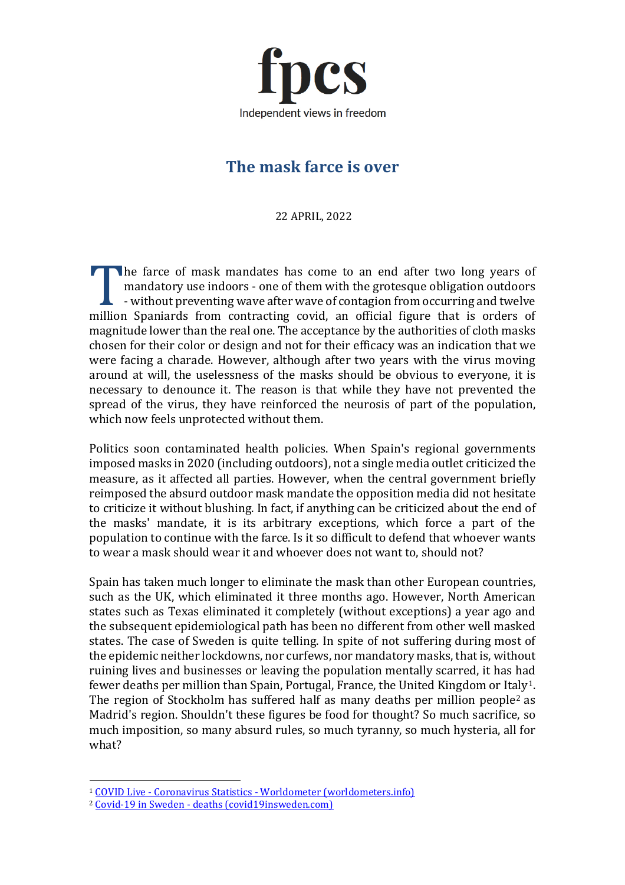

# **The mask farce is over**

22 APRIL, 2022

he farce of mask mandates has come to an end after two long years of mandatory use indoors - one of them with the grotesque obligation outdoors - without preventing wave after wave of contagion from occurring and twelve mandatory use indoors - one of them with the grotesque obligation outdoors<br>- without preventing wave after wave of contagion from occurring and twelve<br>million Spaniards from contracting covid, an official figure that is or magnitude lower than the real one. The acceptance by the authorities of cloth masks chosen for their color or design and not for their efficacy was an indication that we were facing a charade. However, although after two years with the virus moving around at will, the uselessness of the masks should be obvious to everyone, it is necessary to denounce it. The reason is that while they have not prevented the spread of the virus, they have reinforced the neurosis of part of the population, which now feels unprotected without them.

Politics soon contaminated health policies. When Spain's regional governments imposed masks in 2020 (including outdoors), not a single media outlet criticized the measure, as it affected all parties. However, when the central government briefly reimposed the absurd outdoor mask mandate the opposition media did not hesitate to criticize it without blushing. In fact, if anything can be criticized about the end of the masks' mandate, it is its arbitrary exceptions, which force a part of the population to continue with the farce. Is it so difficult to defend that whoever wants to wear a mask should wear it and whoever does not want to, should not?

Spain has taken much longer to eliminate the mask than other European countries, such as the UK, which eliminated it three months ago. However, North American states such as Texas eliminated it completely (without exceptions) a year ago and the subsequent epidemiological path has been no different from other well masked states. The case of Sweden is quite telling. In spite of not suffering during most of the epidemic neither lockdowns, nor curfews, nor mandatory masks, that is, without ruining lives and businesses or leaving the population mentally scarred, it has had fewer deaths per million than Spain, Portugal, France, the United Kingdom or Italy<sup>1</sup>. The region of Stockholm has suffered half as many deaths per million people<sup>[2](#page-0-1)</sup> as Madrid's region. Shouldn't these figures be food for thought? So much sacrifice, so much imposition, so many absurd rules, so much tyranny, so much hysteria, all for what?

<span id="page-0-0"></span><sup>1</sup> COVID Live - Coronavirus Statistics - [Worldometer \(worldometers.info\)](https://www.worldometers.info/coronavirus/?_hsenc)

<span id="page-0-1"></span><sup>2</sup> Covid-19 in Sweden - [deaths \(covid19insweden.com\)](https://www.covid19insweden.com/en/deaths.html#deaths-sweden)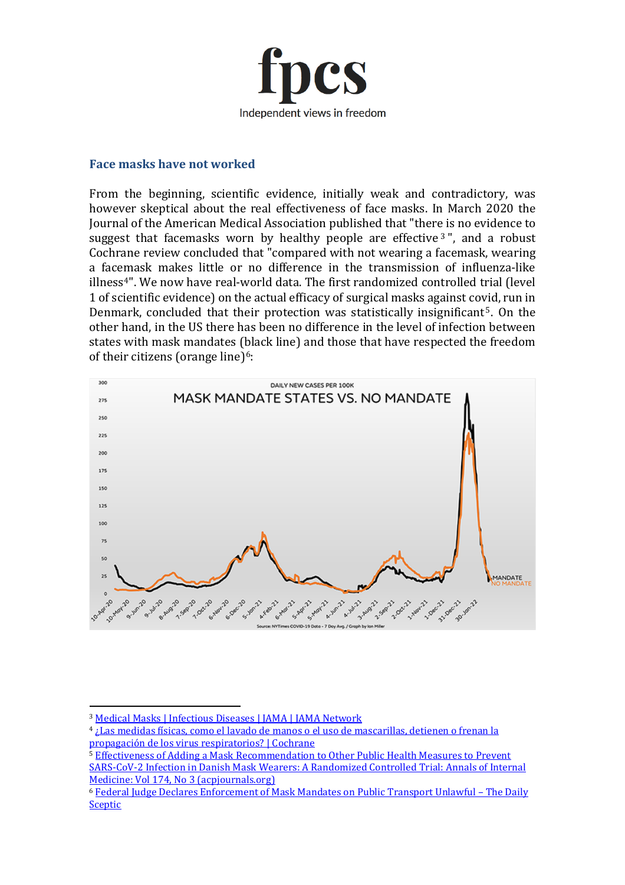

#### **Face masks have not worked**

From the beginning, scientific evidence, initially weak and contradictory, was however skeptical about the real effectiveness of face masks. In March 2020 the Journal of the American Medical Association published that "there is no evidence to suggest that facemasks worn by healthy people are effective  $3$ ", and a robust Cochrane review concluded that "compared with not wearing a facemask, wearing a facemask makes little or no difference in the transmission of influenza-like illness<sup>[4"](#page-1-1)</sup>. We now have real-world data. The first randomized controlled trial (level 1 of scientific evidence) on the actual efficacy of surgical masks against covid, run in Denmark, concluded that their protection was statistically insignificant<sup>[5](#page-1-2)</sup>. On the other hand, in the US there has been no difference in the level of infection between states with mask mandates (black line) and those that have respected the freedom of their citizens (orange line) $6$ :



<span id="page-1-0"></span><sup>3</sup> [Medical Masks | Infectious Diseases | JAMA | JAMA Network](https://jamanetwork.com/journals/jama/fullarticle/2762694)

<span id="page-1-1"></span><sup>4</sup> [¿Las medidas físicas, como el lavado de manos o el uso de mascarillas, detienen o frenan la](https://www.cochrane.org/es/CD006207/ARI_las-medidas-fisicas-como-el-lavado-de-manos-o-el-uso-de-mascarillas-detienen-o-frenan-la-propagacion)  [propagación de los virus respiratorios? | Cochrane](https://www.cochrane.org/es/CD006207/ARI_las-medidas-fisicas-como-el-lavado-de-manos-o-el-uso-de-mascarillas-detienen-o-frenan-la-propagacion)

<span id="page-1-2"></span><sup>5</sup> [Effectiveness of Adding a Mask Recommendation to Other Public Health Measures to Prevent](https://www.acpjournals.org/doi/10.7326/M20-6817)  [SARS-CoV-2 Infection in Danish Mask Wearers: A Randomized Controlled Trial: Annals of Internal](https://www.acpjournals.org/doi/10.7326/M20-6817)  [Medicine: Vol 174, No 3 \(acpjournals.org\)](https://www.acpjournals.org/doi/10.7326/M20-6817)

<span id="page-1-3"></span><sup>6</sup> [Federal Judge Declares Enforcement of Mask Mandates on Public Transport Unlawful –](https://dailysceptic.org/2022/04/19/federal-judge-declares-enforcement-of-mask-mandates-on-public-transport-unlawful/) The Daily [Sceptic](https://dailysceptic.org/2022/04/19/federal-judge-declares-enforcement-of-mask-mandates-on-public-transport-unlawful/)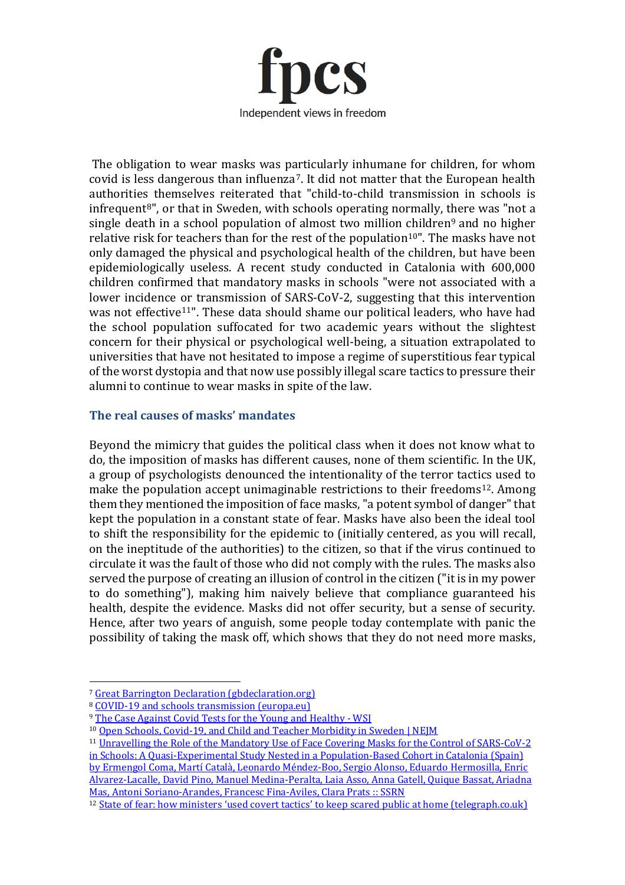

The obligation to wear masks was particularly inhumane for children, for whom covid is less dangerous than influenza[7](#page-2-0). It did not matter that the European health authorities themselves reiterated that "child-to-child transmission in schools is infrequent $8$ ", or that in Sweden, with schools operating normally, there was "not a single death in a school population of almost two million children<sup>[9](#page-2-2)</sup> and no higher relative risk for teachers than for the rest of the population<sup>[10"](#page-2-3)</sup>. The masks have not only damaged the physical and psychological health of the children, but have been epidemiologically useless. A recent study conducted in Catalonia with 600,000 children confirmed that mandatory masks in schools "were not associated with a lower incidence or transmission of SARS-CoV-2, suggesting that this intervention was not effective<sup>[11](#page-2-4)"</sup>. These data should shame our political leaders, who have had the school population suffocated for two academic years without the slightest concern for their physical or psychological well-being, a situation extrapolated to universities that have not hesitated to impose a regime of superstitious fear typical of the worst dystopia and that now use possibly illegal scare tactics to pressure their alumni to continue to wear masks in spite of the law.

### **The real causes of masks' mandates**

Beyond the mimicry that guides the political class when it does not know what to do, the imposition of masks has different causes, none of them scientific. In the UK, a group of psychologists denounced the intentionality of the terror tactics used to make the population accept unimaginable restrictions to their freedoms[12.](#page-2-5) Among them they mentioned the imposition of face masks, "a potent symbol of danger" that kept the population in a constant state of fear. Masks have also been the ideal tool to shift the responsibility for the epidemic to (initially centered, as you will recall, on the ineptitude of the authorities) to the citizen, so that if the virus continued to circulate it was the fault of those who did not comply with the rules. The masks also served the purpose of creating an illusion of control in the citizen ("it is in my power to do something"), making him naively believe that compliance guaranteed his health, despite the evidence. Masks did not offer security, but a sense of security. Hence, after two years of anguish, some people today contemplate with panic the possibility of taking the mask off, which shows that they do not need more masks,

<span id="page-2-0"></span><sup>7</sup> [Great Barrington Declaration \(gbdeclaration.org\)](https://gbdeclaration.org/)

<span id="page-2-1"></span><sup>8</sup> [COVID-19 and schools transmission \(europa.eu\)](https://www.ecdc.europa.eu/sites/default/files/documents/COVID-19-schools-transmission-August%202020.pdf)

<sup>&</sup>lt;sup>9</sup> [The Case Against Covid Tests for the Young and Healthy -](https://www.wsj.com/articles/the-case-against-covid-tests-for-the-young-and-healthy-11599151722) WSI

<span id="page-2-4"></span><span id="page-2-3"></span><span id="page-2-2"></span><sup>10</sup> [Open Schools, Covid-19, and Child and Teacher Morbidity in Sweden | NEJM](https://www.nejm.org/doi/full/10.1056/NEJMc2026670)

<sup>11</sup> [Unravelling the Role of the Mandatory Use of Face Covering Masks for the Control of SARS-CoV-2](https://papers.ssrn.com/sol3/papers.cfm?abstract_id=4046809)  [in Schools: A Quasi-Experimental Study Nested in a Population-Based Cohort in Catalonia \(Spain\)](https://papers.ssrn.com/sol3/papers.cfm?abstract_id=4046809) 

[by Ermengol Coma, Martí Català, Leonardo Méndez-Boo, Sergio Alonso, Eduardo Hermosilla, Enric](https://papers.ssrn.com/sol3/papers.cfm?abstract_id=4046809)  [Alvarez-Lacalle, David Pino, Manuel Medina-Peralta, Laia Asso, Anna Gatell, Quique Bassat, Ariadna](https://papers.ssrn.com/sol3/papers.cfm?abstract_id=4046809)  [Mas, Antoni Soriano-Arandes, Francesc Fina-Aviles, Clara Prats :: SSRN](https://papers.ssrn.com/sol3/papers.cfm?abstract_id=4046809)

<span id="page-2-5"></span><sup>&</sup>lt;sup>12</sup> [State of fear: how ministers 'used covert tactics' to keep scared public at home \(telegraph.co.uk\)](https://www.telegraph.co.uk/news/2021/04/02/state-fear-ministers-used-covert-tactics-keep-scared-public/?li_source=LI&li_medium=liftigniter-rhr)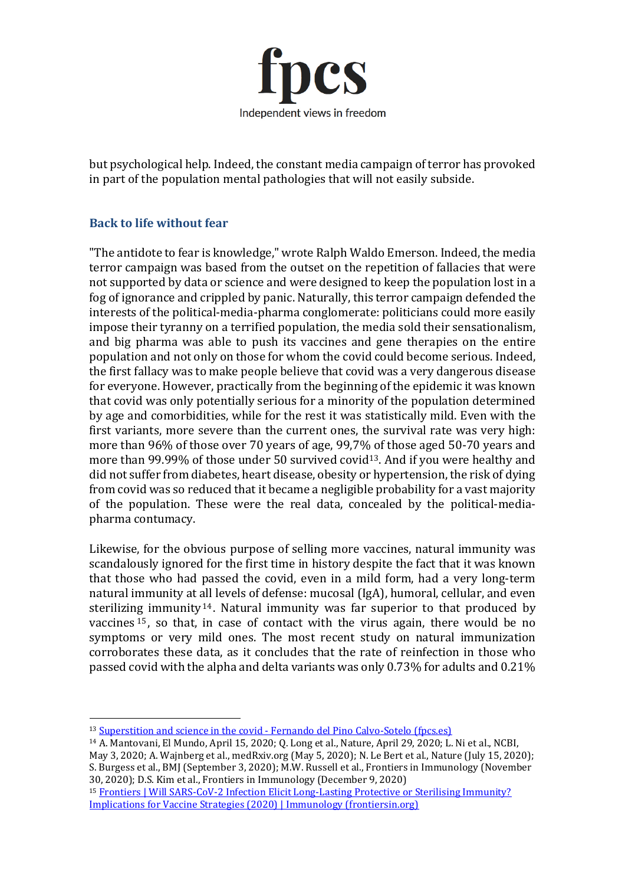

but psychological help. Indeed, the constant media campaign of terror has provoked in part of the population mental pathologies that will not easily subside.

## **Back to life without fear**

"The antidote to fear is knowledge," wrote Ralph Waldo Emerson. Indeed, the media terror campaign was based from the outset on the repetition of fallacies that were not supported by data or science and were designed to keep the population lost in a fog of ignorance and crippled by panic. Naturally, this terror campaign defended the interests of the political-media-pharma conglomerate: politicians could more easily impose their tyranny on a terrified population, the media sold their sensationalism, and big pharma was able to push its vaccines and gene therapies on the entire population and not only on those for whom the covid could become serious. Indeed, the first fallacy was to make people believe that covid was a very dangerous disease for everyone. However, practically from the beginning of the epidemic it was known that covid was only potentially serious for a minority of the population determined by age and comorbidities, while for the rest it was statistically mild. Even with the first variants, more severe than the current ones, the survival rate was very high: more than 96% of those over 70 years of age, 99,7% of those aged 50-70 years and more than 99.99% of those under 50 survived covid<sup>13</sup>. And if you were healthy and did not suffer from diabetes, heart disease, obesity or hypertension, the risk of dying from covid was so reduced that it became a negligible probability for a vast majority of the population. These were the real data, concealed by the political-mediapharma contumacy.

Likewise, for the obvious purpose of selling more vaccines, natural immunity was scandalously ignored for the first time in history despite the fact that it was known that those who had passed the covid, even in a mild form, had a very long-term natural immunity at all levels of defense: mucosal (IgA), humoral, cellular, and even sterilizing immunity [14](#page-3-1) . Natural immunity was far superior to that produced by vaccines [15](#page-3-2) , so that, in case of contact with the virus again, there would be no symptoms or very mild ones. The most recent study on natural immunization corroborates these data, as it concludes that the rate of reinfection in those who passed covid with the alpha and delta variants was only 0.73% for adults and 0.21%

<span id="page-3-0"></span><sup>&</sup>lt;sup>13</sup> Superstition and science in the covid - [Fernando del Pino Calvo-Sotelo \(fpcs.es\)](https://www.fpcs.es/en/superstition-and-science-in-the-covid/)

<span id="page-3-1"></span><sup>14</sup> A. Mantovani, El Mundo, April 15, 2020; Q. Long et al., Nature, April 29, 2020; L. Ni et al., NCBI, May 3, 2020; A. Wajnberg et al., medRxiv.org (May 5, 2020); N. Le Bert et al., Nature (July 15, 2020); S. Burgess et al., BMJ (September 3, 2020); M.W. Russell et al., Frontiers in Immunology (November 30, 2020); D.S. Kim et al., Frontiers in Immunology (December 9, 2020)

<span id="page-3-2"></span><sup>15</sup> Frontiers | Will SARS-CoV-2 Infection Elicit Long-Lasting Protective or Sterilising Immunity? [Implications for Vaccine Strategies \(2020\) | Immunology \(frontiersin.org\)](https://www.frontiersin.org/articles/10.3389/fimmu.2020.571481/full)